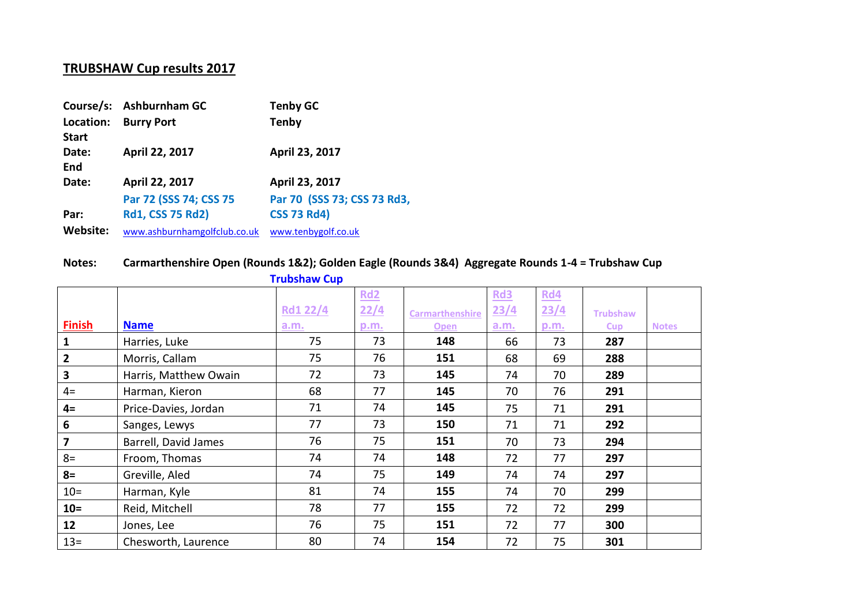## **TRUBSHAW Cup results 2017**

|                           | Course/s: Ashburnham GC      | <b>Tenby GC</b>             |
|---------------------------|------------------------------|-----------------------------|
| Location:<br><b>Start</b> | <b>Burry Port</b>            | <b>Tenby</b>                |
| Date:<br>End              | April 22, 2017               | April 23, 2017              |
| Date:                     | April 22, 2017               | April 23, 2017              |
|                           | Par 72 (SSS 74; CSS 75       | Par 70 (SSS 73; CSS 73 Rd3, |
| Par:                      | <b>Rd1, CSS 75 Rd2)</b>      | <b>CSS 73 Rd4)</b>          |
| Website:                  | www.ashburnhamgolfclub.co.uk | www.tenbygolf.co.uk         |

## **Notes: Carmarthenshire Open (Rounds 1&2); Golden Eagle (Rounds 3&4) Aggregate Rounds 1-4 = Trubshaw Cup**

|                         |                       | <b>Trupshaw Cup</b> |      |                        |      |      |                 |              |
|-------------------------|-----------------------|---------------------|------|------------------------|------|------|-----------------|--------------|
|                         |                       |                     | Rd2  |                        | Rd3  | Rd4  |                 |              |
|                         |                       | <b>Rd1 22/4</b>     | 22/4 | <b>Carmarthenshire</b> | 23/4 | 23/4 | <b>Trubshaw</b> |              |
| <b>Finish</b>           | <b>Name</b>           | a.m.                | p.m. | <b>Open</b>            | a.m. | p.m. | <b>Cup</b>      | <b>Notes</b> |
| 1                       | Harries, Luke         | 75                  | 73   | 148                    | 66   | 73   | 287             |              |
| $\mathbf{2}$            | Morris, Callam        | 75                  | 76   | 151                    | 68   | 69   | 288             |              |
| 3                       | Harris, Matthew Owain | 72                  | 73   | 145                    | 74   | 70   | 289             |              |
| $4=$                    | Harman, Kieron        | 68                  | 77   | 145                    | 70   | 76   | 291             |              |
| $4=$                    | Price-Davies, Jordan  | 71                  | 74   | 145                    | 75   | 71   | 291             |              |
| 6                       | Sanges, Lewys         | 77                  | 73   | 150                    | 71   | 71   | 292             |              |
| $\overline{\mathbf{z}}$ | Barrell, David James  | 76                  | 75   | 151                    | 70   | 73   | 294             |              |
| $8=$                    | Froom, Thomas         | 74                  | 74   | 148                    | 72   | 77   | 297             |              |
| $8=$                    | Greville, Aled        | 74                  | 75   | 149                    | 74   | 74   | 297             |              |
| $10 =$                  | Harman, Kyle          | 81                  | 74   | 155                    | 74   | 70   | 299             |              |
| $10 =$                  | Reid, Mitchell        | 78                  | 77   | 155                    | 72   | 72   | 299             |              |
| 12                      | Jones, Lee            | 76                  | 75   | 151                    | 72   | 77   | 300             |              |
| $13 =$                  | Chesworth, Laurence   | 80                  | 74   | 154                    | 72   | 75   | 301             |              |

## **Trubshaw Cup**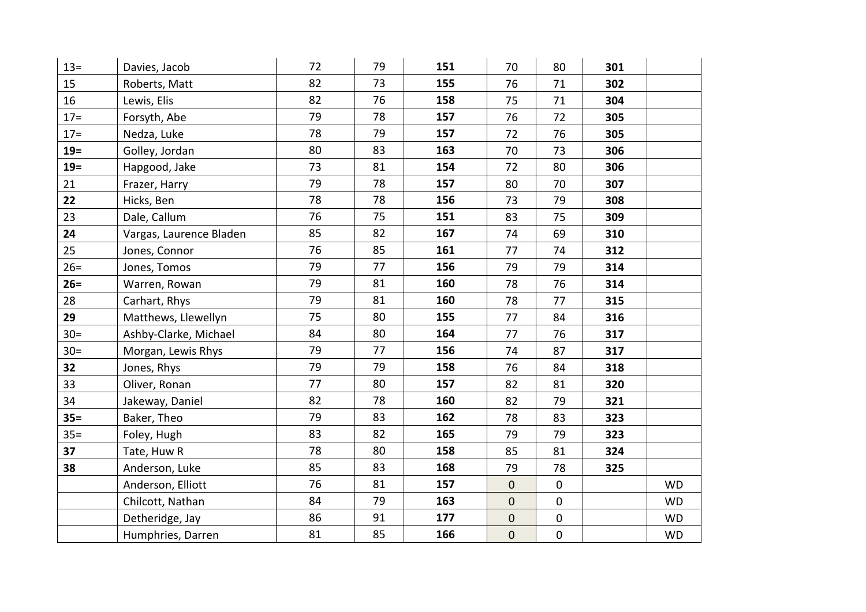| $13 =$ | Davies, Jacob           | 72 | 79 | 151 | 70               | 80          | 301 |           |
|--------|-------------------------|----|----|-----|------------------|-------------|-----|-----------|
| 15     | Roberts, Matt           | 82 | 73 | 155 | 76               | 71          | 302 |           |
| 16     | Lewis, Elis             | 82 | 76 | 158 | 75               | 71          | 304 |           |
| $17 =$ | Forsyth, Abe            | 79 | 78 | 157 | 76               | 72          | 305 |           |
| $17 =$ | Nedza, Luke             | 78 | 79 | 157 | 72               | 76          | 305 |           |
| $19=$  | Golley, Jordan          | 80 | 83 | 163 | 70               | 73          | 306 |           |
| $19=$  | Hapgood, Jake           | 73 | 81 | 154 | 72               | 80          | 306 |           |
| 21     | Frazer, Harry           | 79 | 78 | 157 | 80               | 70          | 307 |           |
| 22     | Hicks, Ben              | 78 | 78 | 156 | 73               | 79          | 308 |           |
| 23     | Dale, Callum            | 76 | 75 | 151 | 83               | 75          | 309 |           |
| 24     | Vargas, Laurence Bladen | 85 | 82 | 167 | 74               | 69          | 310 |           |
| 25     | Jones, Connor           | 76 | 85 | 161 | 77               | 74          | 312 |           |
| $26=$  | Jones, Tomos            | 79 | 77 | 156 | 79               | 79          | 314 |           |
| $26=$  | Warren, Rowan           | 79 | 81 | 160 | 78               | 76          | 314 |           |
| 28     | Carhart, Rhys           | 79 | 81 | 160 | 78               | 77          | 315 |           |
| 29     | Matthews, Llewellyn     | 75 | 80 | 155 | 77               | 84          | 316 |           |
| $30=$  | Ashby-Clarke, Michael   | 84 | 80 | 164 | 77               | 76          | 317 |           |
| $30=$  | Morgan, Lewis Rhys      | 79 | 77 | 156 | 74               | 87          | 317 |           |
| 32     | Jones, Rhys             | 79 | 79 | 158 | 76               | 84          | 318 |           |
| 33     | Oliver, Ronan           | 77 | 80 | 157 | 82               | 81          | 320 |           |
| 34     | Jakeway, Daniel         | 82 | 78 | 160 | 82               | 79          | 321 |           |
| $35=$  | Baker, Theo             | 79 | 83 | 162 | 78               | 83          | 323 |           |
| $35 =$ | Foley, Hugh             | 83 | 82 | 165 | 79               | 79          | 323 |           |
| 37     | Tate, Huw R             | 78 | 80 | 158 | 85               | 81          | 324 |           |
| 38     | Anderson, Luke          | 85 | 83 | 168 | 79               | 78          | 325 |           |
|        | Anderson, Elliott       | 76 | 81 | 157 | $\mathbf 0$      | $\mathbf 0$ |     | <b>WD</b> |
|        | Chilcott, Nathan        | 84 | 79 | 163 | $\boldsymbol{0}$ | $\mathbf 0$ |     | <b>WD</b> |
|        | Detheridge, Jay         | 86 | 91 | 177 | $\mathbf 0$      | $\pmb{0}$   |     | <b>WD</b> |
|        | Humphries, Darren       | 81 | 85 | 166 | $\pmb{0}$        | $\pmb{0}$   |     | <b>WD</b> |